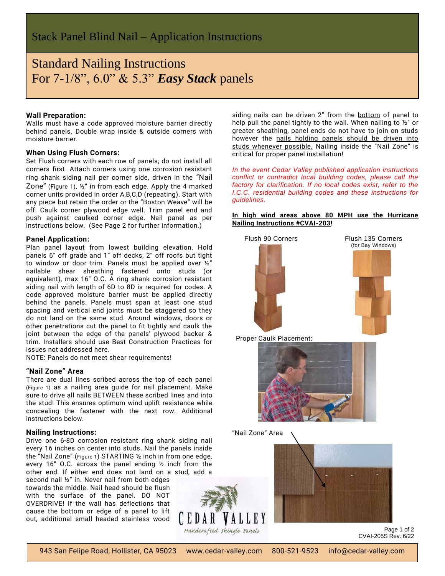# Standard Nailing Instructions For 7-1/8", 6.0" & 5.3" *Easy Stack* panels

# **Wall Preparation:**

Walls must have a code approved moisture barrier directly behind panels. Double wrap inside & outside corners with moisture barrier.

# **When Using Flush Corners:**

Set Flush corners with each row of panels; do not install all corners first. Attach corners using one corrosion resistant ring shank siding nail per corner side, driven in the "Nail Zone" (Figure 1), ½" in from each edge. Apply the 4 marked corner units provided in order A,B,C,D (repeating). Start with any piece but retain the order or the "Boston Weave" will be off. Caulk corner plywood edge well. Trim panel end and push against caulked corner edge. Nail panel as per instructions below. (See Page 2 for further information.)

#### **Panel Application:**

Plan panel layout from lowest building elevation. Hold panels 6" off grade and 1" off decks, 2" off roofs but tight to window or door trim. Panels must be applied over ½" nailable shear sheathing fastened onto studs (or equivalent), max 16" O.C. A ring shank corrosion resistant siding nail with length of 6D to 8D is required for codes. A code approved moisture barrier must be applied directly behind the panels. Panels must span at least one stud spacing and vertical end joints must be staggered so they do not land on the same stud. Around windows, doors or other penetrations cut the panel to fit tightly and caulk the joint between the edge of the panels' plywood backer & trim. Installers should use Best Construction Practices for issues not addressed here.

NOTE: Panels do not meet shear requirements!

# **"Nail Zone" Area**

There are dual lines scribed across the top of each panel (Figure 1) as a nailing area guide for nail placement. Make sure to drive all nails BETWEEN these scribed lines and into the stud! This ensures optimum wind uplift resistance while concealing the fastener with the next row. Additional instructions below.

#### **Nailing Instructions:**

Drive one 6-8D corrosion resistant ring shank siding nail every 16 inches on center into studs. Nail the panels inside the "Nail Zone" (Figure 1) STARTING ½ inch in from one edge, every 16" O.C. across the panel ending ½ inch from the other end. If either end does not land on a stud, add a

second nail ½" in. Never nail from both edges towards the middle. Nail head should be flush with the surface of the panel. DO NOT OVERDRIVE! If the wall has deflections that cause the bottom or edge of a panel to lift out, additional small headed stainless wood



siding nails can be driven 2" from the bottom of panel to help pull the panel tightly to the wall. When nailing to  $\frac{1}{2}$  or greater sheathing, panel ends do not have to join on studs however the nails holding panels should be driven into studs whenever possible. Nailing inside the "Nail Zone" is critical for proper panel installation!

*In the event Cedar Valley published application instructions conflict or contradict local building codes, please call the factory for clarification. If no local codes exist, refer to the I.C.C. residential building codes and these instructions for guidelines.*

# **In high wind areas above 80 MPH use the Hurricane Nailing Instructions #CVAI-203!**



Proper Caulk Placement:



"Nail Zone" Area



Page 1 of 2 CVAI-205S Rev. 6/22